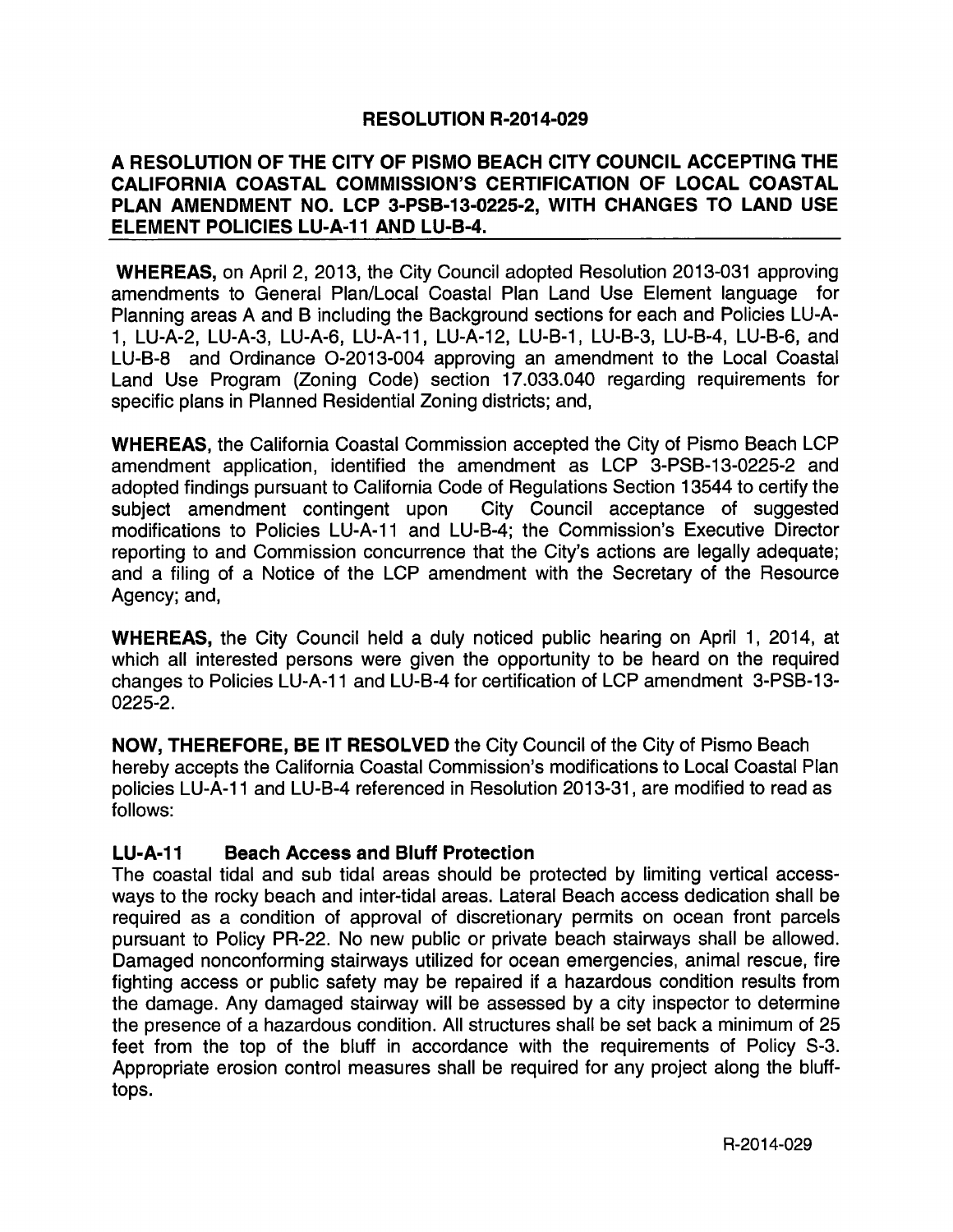## **RESOLUTION R-2014-029**

## A RESOLUTION OF THE CITY OF PISMO BEACH CITY COUNCIL ACCEPTING THE CALIFORNIA COASTAL COMMISSION'S CERTIFICATION OF LOCAL COASTAL PLAN AMENDMENT NO. LCP 3-PSB-13-0225-2, WITH CHANGES TO LAND USE **ELEMENT POLICIES LU-A-11 AND LU-B-4.**

WHEREAS, on April 2, 2013, the City Council adopted Resolution 2013-031 approving amendments to General Plan/Local Coastal Plan Land Use Element language for Planning areas A and B including the Background sections for each and Policies LU -A-1, LU-A-2, LU-A-3, LU-A-6, LU-A-11, LU-A-12, LU-B-1, LU-B-3, LU-B-4, LU-B-6, and LU-B-8 and Ordinance O-2013-004 approving an amendment to the Local Coastal Land Use Program (Zoning Code) section 17.033.040 regarding requirements for specific plans in Planned Residential Zoning districts; and,

WHEREAS, the California Coastal Commission accepted the City of Pismo Beach LCP amendment application, identified the amendment as LCP 3-PSB-13-0225-2 and adopted findings pursuant to California Code of Regulations Section 13544 to certify the subject amendment contingent upon City Council acceptance of suggested modifications to Policies LU-A-11 and LU-B-4; the Commission's Executive Director reporting to and Commission concurrence that the City's actions are legally adequate; and a filing of a Notice of the LCP amendment with the Secretary of the Resource Agency; and,

WHEREAS, the City Council held a duly noticed public hearing on April 1, 2014, at which all interested persons were given the opportunity to be heard on the required changes to Policies LU-A-11 and LU-B-4 for certification of LCP amendment 3-PSB-13-0225-2.

NOW, THEREFORE, BE IT RESOLVED the City Council of the City of Pismo Beach hereby accepts the California Coastal Commission's modifications to Local Coastal Plan policies LU-A-11 and LU-B-4 referenced in Resolution 2013-31, are modified to read as follows:

## LU-A-11 Beach Access and Bluff Protection

The coastal tidal and sub tidal areas should be protected by limiting vertical accessways to the rocky beach and inter -tidal areas. Lateral Beach access dedication shall be required as a condition of approval of discretionary permits on ocean front parcels pursuant to Policy PR -22. No new public or private beach stairways shall be allowed. Damaged nonconforming stairways utilized for ocean emergencies, animal rescue, fire fighting access or public safety may be repaired if a hazardous condition results from the damage. Any damaged stairway will be assessed by a city inspector to determine the presence of a hazardous condition. All structures shall be set back a minimum of 25 feet from the top of the bluff in accordance with the requirements of Policy S-3. Appropriate erosion control measures shall be required for any project along the blufftops.